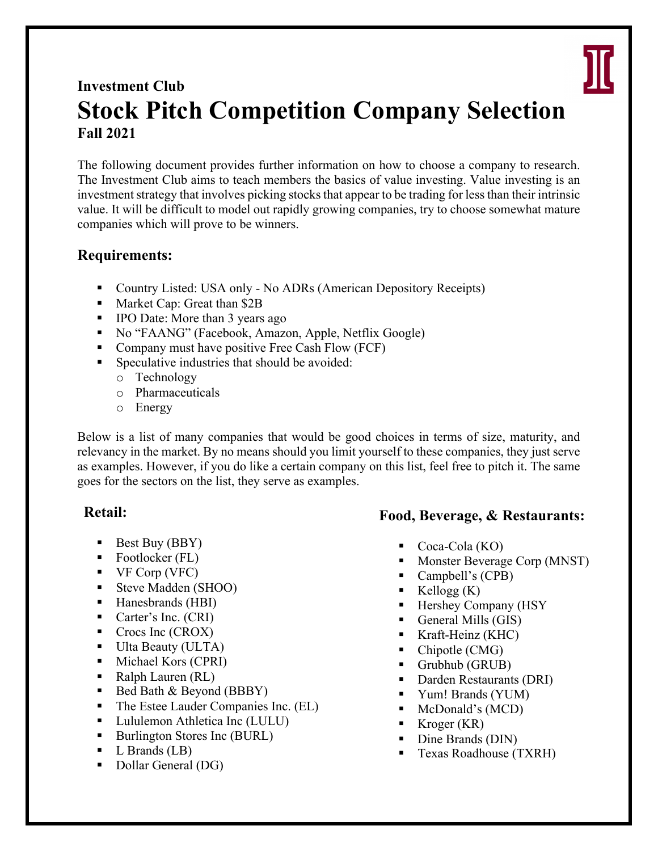

# **Investment Club Stock Pitch Competition Company Selection Fall 2021**

The following document provides further information on how to choose a company to research. The Investment Club aims to teach members the basics of value investing. Value investing is an investment strategy that involves picking stocks that appear to be trading for less than their intrinsic value. It will be difficult to model out rapidly growing companies, try to choose somewhat mature companies which will prove to be winners.

# **Requirements:**

- Country Listed: USA only No ADRs (American Depository Receipts)
- Market Cap: Great than \$2B
- IPO Date: More than 3 years ago
- No "FAANG" (Facebook, Amazon, Apple, Netflix Google)
- Company must have positive Free Cash Flow (FCF)
- Speculative industries that should be avoided:
	- o Technology
	- o Pharmaceuticals
	- o Energy

Below is a list of many companies that would be good choices in terms of size, maturity, and relevancy in the market. By no means should you limit yourself to these companies, they just serve as examples. However, if you do like a certain company on this list, feel free to pitch it. The same goes for the sectors on the list, they serve as examples.

#### **Retail:**

- Best Buy (BBY)
- Footlocker (FL)
- $\blacktriangleright$  VF Corp (VFC)
- Steve Madden (SHOO)
- Hanesbrands (HBI)
- Carter's Inc. (CRI)
- Crocs Inc (CROX)
- Ulta Beauty (ULTA)
- Michael Kors (CPRI)
- Ralph Lauren (RL)
- Bed Bath & Beyond (BBBY)
- The Estee Lauder Companies Inc. (EL)
- Lululemon Athletica Inc (LULU)
- Burlington Stores Inc (BURL)
- L Brands (LB)
- Dollar General (DG)

# **Food, Beverage, & Restaurants:**

- Coca-Cola  $(KO)$
- Monster Beverage Corp (MNST)
- Campbell's (CPB)
- $K$ ellogg  $(K)$
- § Hershey Company (HSY
- General Mills (GIS)
- Kraft-Heinz (KHC)
- § Chipotle (CMG)
- Grubhub (GRUB)
- Darden Restaurants (DRI)
- § Yum! Brands (YUM)
- McDonald's (MCD)
- Kroger (KR)
- Dine Brands (DIN)
- Texas Roadhouse (TXRH)